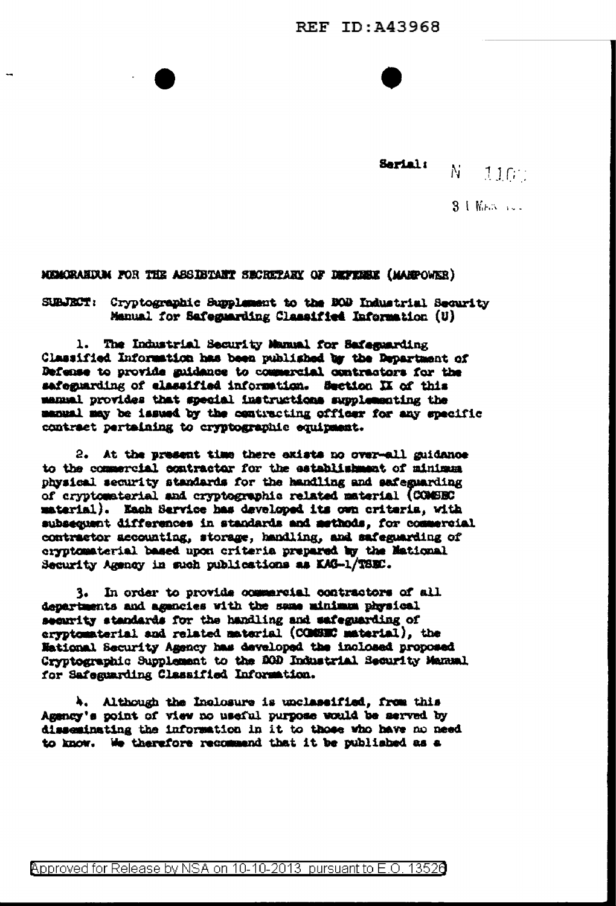Serial: N.  $110$ 

3 UNES SEE

MUMORANDUM FOR THE ASSIBIANT SECRETARY OF DEFENSE (MANPOWER)

SUBJECT: Cryptographic Supplement to the BOD Industrial Security Manual for Safeguarding Classified Information (U)

1. The Industrial Security Manual for Safeguarding Classified Information has been published by the Department of Defense to provide guidance to commercial contractors for the safeguarding of elassified information. Section II of this manual provides that special instructions supplementing the manual may be issued by the contracting officer for any specific contract pertaining to cryptographic equipment.

2. At the present time there exists no over-all guidance to the commercial contractor for the establishment of minimum physical security standards for the handling and safeguarding of cryptomaterial and cryptographic related material (COMSEC material). Each Service has developed its own criteria, with subsequent differences in standards and methods. for commercial contractor accounting, storage, handling, and safeguarding of cryptomaterial based upon criteria prepared by the Mational Security Agency in such publications as KAG-1/TSEC.

3. In order to provide commercial contractors of all departments and agencies with the same minimum physical security standards for the handling and safeguarding of eryptomaterial and related material (COMSEC material), the Mational Security Agency has developed the inclosed proposed Cryptographic Supplement to the 200 Industrial Security Manual for Safeguarding Classified Information.

Although the Inclosure is unclassified, from this Ъ. Agency's point of view no useful purpose would be served by disseminating the information in it to those who have no need to know. We therefore recommend that it be published as a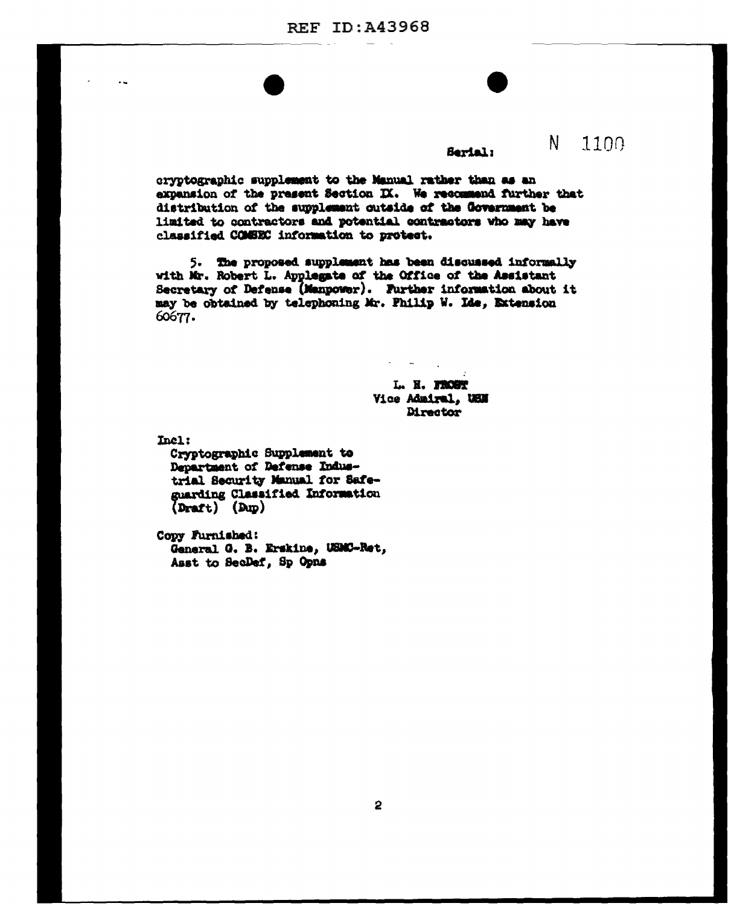## Serial:

N.

1100

cryptographic supplement to the Manual rather than as an expansion of the present Section IX. We recommend further that distribution of the supplement outside of the Government be limited to contractors and potential contractors who may have classified COMEEC information to protect.

5. The proposed supplement has been discussed informally with Mr. Robert L. Applegate of the Office of the Assistant Secretary of Defense (Manpower). Further information about it may be obtained by telephoning Mr. Philip W. Ide, Extension 60677.

> L. H. FROST Vice Admiral, USN Director

Incl:

Cryptographic Supplement to Department of Defense Industrial Security Manual for Safeguarding Classified Information  $(Draft)$   $(Dup)$ 

Copy Furnished: General G. B. Erskine, USMC-Ret, Asst to SecDef, Sp Opns